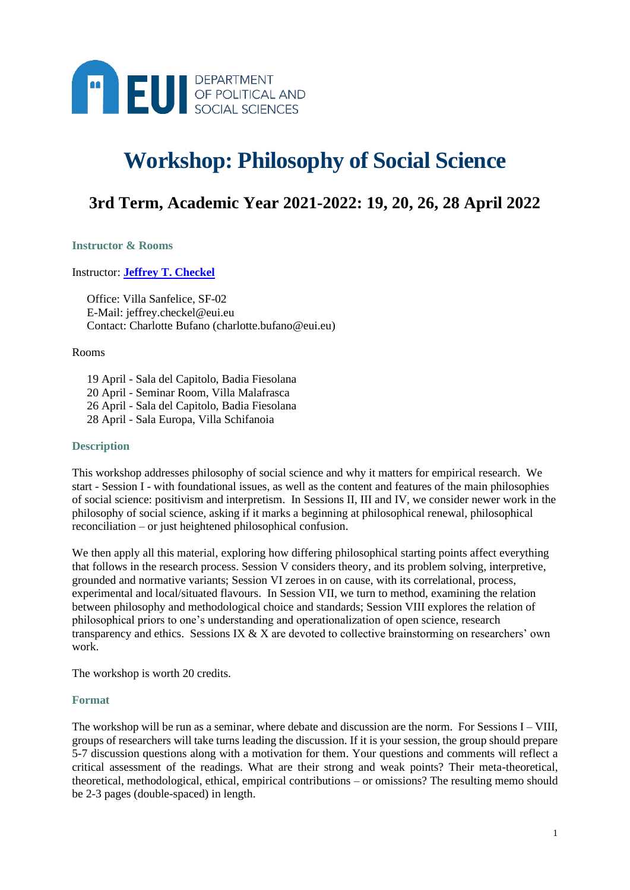

# **Workshop: Philosophy of Social Science**

## **3rd Term, Academic Year 2021-2022: 19, 20, 26, 28 April 2022**

#### **Instructor & Rooms**

#### Instructor: **[Jeffrey T. Checkel](https://www.eui.eu/people?id=jeffrey-checkel)**

Office: Villa Sanfelice, SF-02 E-Mail: jeffrey.checkel@eui.eu Contact: Charlotte Bufano (charlotte.bufano@eui.eu)

Rooms

19 April - Sala del Capitolo, Badia Fiesolana 20 April - Seminar Room, Villa Malafrasca 26 April - Sala del Capitolo, Badia Fiesolana 28 April - Sala Europa, Villa Schifanoia

#### **Description**

This workshop addresses philosophy of social science and why it matters for empirical research. We start - Session I - with foundational issues, as well as the content and features of the main philosophies of social science: positivism and interpretism. In Sessions II, III and IV, we consider newer work in the philosophy of social science, asking if it marks a beginning at philosophical renewal, philosophical reconciliation – or just heightened philosophical confusion.

We then apply all this material, exploring how differing philosophical starting points affect everything that follows in the research process. Session V considers theory, and its problem solving, interpretive, grounded and normative variants; Session VI zeroes in on cause, with its correlational, process, experimental and local/situated flavours. In Session VII, we turn to method, examining the relation between philosophy and methodological choice and standards; Session VIII explores the relation of philosophical priors to one's understanding and operationalization of open science, research transparency and ethics. Sessions IX & X are devoted to collective brainstorming on researchers' own work.

The workshop is worth 20 credits.

#### **Format**

The workshop will be run as a seminar, where debate and discussion are the norm. For Sessions  $I - VIII$ , groups of researchers will take turns leading the discussion. If it is your session, the group should prepare 5-7 discussion questions along with a motivation for them. Your questions and comments will reflect a critical assessment of the readings. What are their strong and weak points? Their meta-theoretical, theoretical, methodological, ethical, empirical contributions – or omissions? The resulting memo should be 2-3 pages (double-spaced) in length.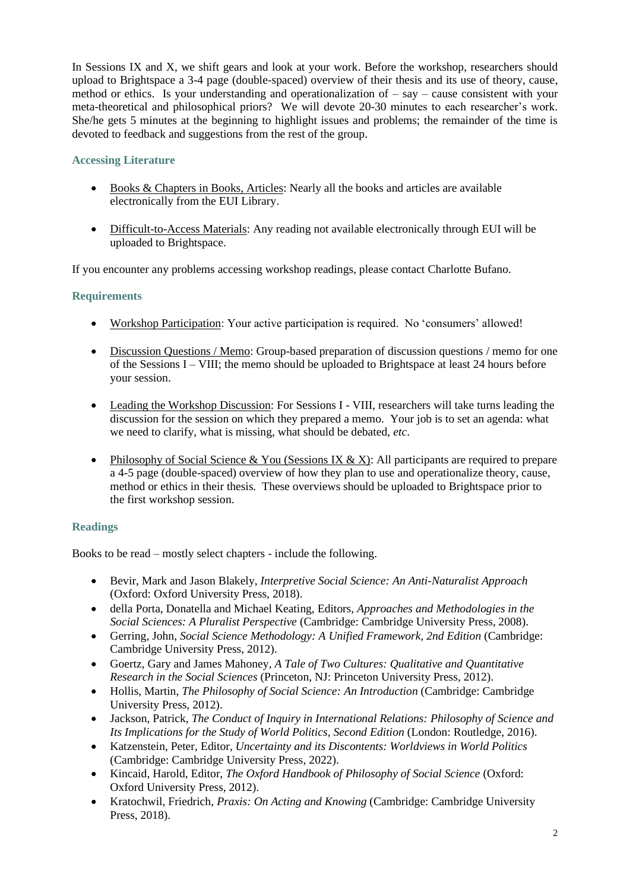In Sessions IX and X, we shift gears and look at your work. Before the workshop, researchers should upload to Brightspace a 3-4 page (double-spaced) overview of their thesis and its use of theory, cause, method or ethics. Is your understanding and operationalization of  $-$  say  $-$  cause consistent with your meta-theoretical and philosophical priors? We will devote 20-30 minutes to each researcher's work. She/he gets 5 minutes at the beginning to highlight issues and problems; the remainder of the time is devoted to feedback and suggestions from the rest of the group.

## **Accessing Literature**

- Books & Chapters in Books, Articles: Nearly all the books and articles are available electronically from the EUI Library.
- Difficult-to-Access Materials: Any reading not available electronically through EUI will be uploaded to Brightspace.

If you encounter any problems accessing workshop readings, please contact Charlotte Bufano.

## **Requirements**

- Workshop Participation: Your active participation is required. No 'consumers' allowed!
- Discussion Questions / Memo: Group-based preparation of discussion questions / memo for one of the Sessions I – VIII; the memo should be uploaded to Brightspace at least 24 hours before your session.
- Leading the Workshop Discussion: For Sessions I VIII, researchers will take turns leading the discussion for the session on which they prepared a memo. Your job is to set an agenda: what we need to clarify, what is missing, what should be debated, *etc*.
- Philosophy of Social Science & You (Sessions IX & X): All participants are required to prepare a 4-5 page (double-spaced) overview of how they plan to use and operationalize theory, cause, method or ethics in their thesis. These overviews should be uploaded to Brightspace prior to the first workshop session.

## **Readings**

Books to be read – mostly select chapters - include the following.

- Bevir, Mark and Jason Blakely, *Interpretive Social Science: An Anti-Naturalist Approach* (Oxford: Oxford University Press, 2018).
- della Porta, Donatella and Michael Keating, Editors, *Approaches and Methodologies in the Social Sciences: A Pluralist Perspective* (Cambridge: Cambridge University Press, 2008).
- Gerring, John, *Social Science Methodology: A Unified Framework, 2nd Edition* (Cambridge: Cambridge University Press, 2012).
- Goertz, Gary and James Mahoney, *A Tale of Two Cultures: Qualitative and Quantitative Research in the Social Sciences* (Princeton, NJ: Princeton University Press, 2012).
- Hollis, Martin, *The Philosophy of Social Science: An Introduction* (Cambridge: Cambridge University Press, 2012).
- Jackson, Patrick, *The Conduct of Inquiry in International Relations: Philosophy of Science and Its Implications for the Study of World Politics, Second Edition* (London: Routledge, 2016).
- Katzenstein, Peter, Editor, *Uncertainty and its Discontents: Worldviews in World Politics* (Cambridge: Cambridge University Press, 2022).
- Kincaid, Harold, Editor, *The Oxford Handbook of Philosophy of Social Science* (Oxford: Oxford University Press, 2012).
- Kratochwil, Friedrich, *Praxis: On Acting and Knowing* (Cambridge: Cambridge University Press, 2018).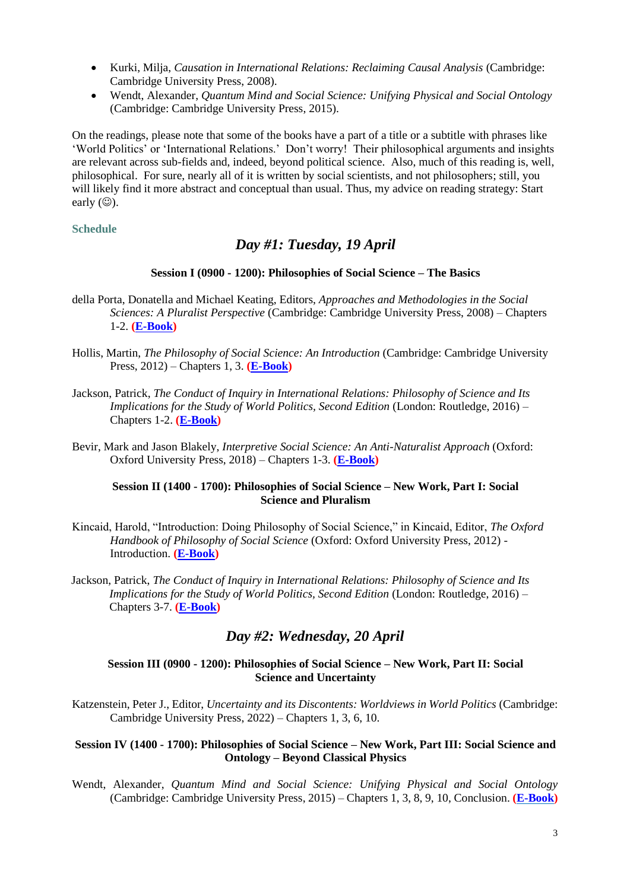- Kurki, Milja, *Causation in International Relations: Reclaiming Causal Analysis* (Cambridge: Cambridge University Press, 2008).
- Wendt, Alexander, *Quantum Mind and Social Science: Unifying Physical and Social Ontology* (Cambridge: Cambridge University Press, 2015).

On the readings, please note that some of the books have a part of a title or a subtitle with phrases like 'World Politics' or 'International Relations.' Don't worry! Their philosophical arguments and insights are relevant across sub-fields and, indeed, beyond political science. Also, much of this reading is, well, philosophical. For sure, nearly all of it is written by social scientists, and not philosophers; still, you will likely find it more abstract and conceptual than usual. Thus, my advice on reading strategy: Start early  $(\circledcirc)$ .

## **Schedule**

## *Day #1: Tuesday, 19 April*

## **Session I (0900 - 1200): Philosophies of Social Science – The Basics**

- della Porta, Donatella and Michael Keating, Editors, *Approaches and Methodologies in the Social Sciences: A Pluralist Perspective* (Cambridge: Cambridge University Press, 2008) – Chapters 1-2. **[\(E-Book\)](https://opac.eui.eu/client/en_GB/default/search/detailnonmodal/ent:$002f$002fSD_ILS$002f0$002fSD_ILS:459338/one)**
- Hollis, Martin, *The Philosophy of Social Science: An Introduction* (Cambridge: Cambridge University Press, 2012) – Chapters 1, 3. **[\(E-Book\)](https://www-cambridge-org.eui.idm.oclc.org/core/books/philosophy-of-social-science/BBF45C70D4D6636F4DE059E2B1BE0103)**
- Jackson, Patrick, *The Conduct of Inquiry in International Relations: Philosophy of Science and Its Implications for the Study of World Politics, Second Edition* (London: Routledge, 2016) – Chapters 1-2. **[\(E-Book\)](https://www-taylorfrancis-com.eui.idm.oclc.org/books/conduct-inquiry-international-relations-patrick-thaddeus-jackson/10.4324/9781315731360)**
- Bevir, Mark and Jason Blakely, *Interpretive Social Science: An Anti-Naturalist Approach* (Oxford: Oxford University Press, 2018) – Chapters 1-3. **[\(E-Book\)](https://oxford-universitypressscholarship-com.eui.idm.oclc.org/view/10.1093/oso/9780198832942.001.0001/oso-9780198832942)**

## **Session II (1400 - 1700): Philosophies of Social Science – New Work, Part I: Social Science and Pluralism**

- Kincaid, Harold, "Introduction: Doing Philosophy of Social Science," in Kincaid, Editor, *The Oxford Handbook of Philosophy of Social Science* (Oxford: Oxford University Press, 2012) - Introduction. **[\(E-Book\)](https://www-oxfordhandbooks-com.eui.idm.oclc.org/view/10.1093/oxfordhb/9780195392753.001.0001/oxfordhb-9780195392753)**
- Jackson, Patrick, *The Conduct of Inquiry in International Relations: Philosophy of Science and Its Implications for the Study of World Politics, Second Edition* (London: Routledge, 2016) – Chapters 3-7. **[\(E-Book\)](https://www-taylorfrancis-com.eui.idm.oclc.org/books/conduct-inquiry-international-relations-patrick-thaddeus-jackson/10.4324/9781315731360)**

## *Day #2: Wednesday, 20 April*

## **Session III (0900 - 1200): Philosophies of Social Science – New Work, Part II: Social Science and Uncertainty**

Katzenstein, Peter J., Editor, *Uncertainty and its Discontents: Worldviews in World Politics* (Cambridge: Cambridge University Press, 2022) – Chapters 1, 3, 6, 10.

#### **Session IV (1400 - 1700): Philosophies of Social Science – New Work, Part III: Social Science and Ontology – Beyond Classical Physics**

Wendt, Alexander, *Quantum Mind and Social Science: Unifying Physical and Social Ontology* (Cambridge: Cambridge University Press, 2015) – Chapters 1, 3, 8, 9, 10, Conclusion. **[\(E-Book\)](https://www-cambridge-org.eui.idm.oclc.org/core/books/quantum-mind-and-social-science/3D5DB273B648D0A23B49C1C4ABA5CF7A)**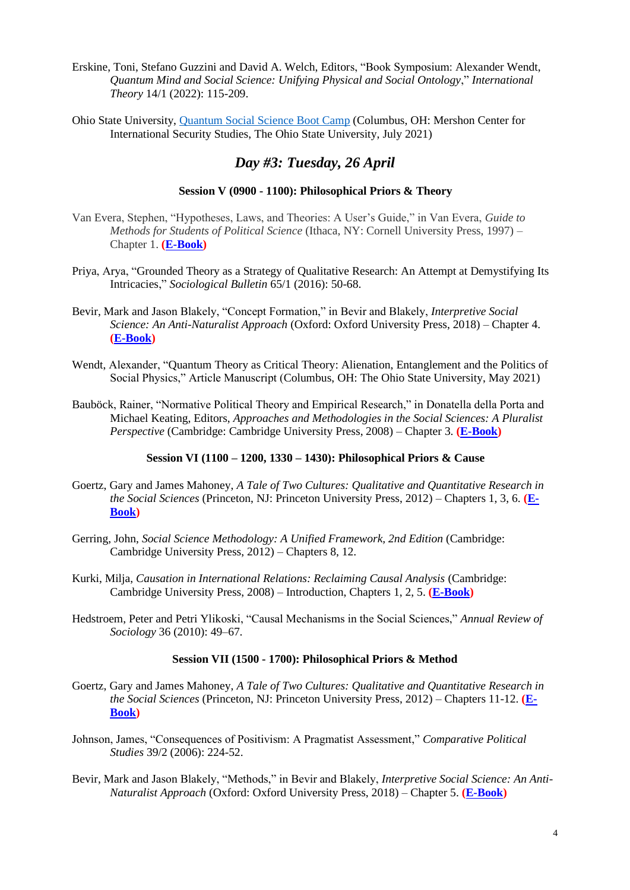- Erskine, Toni, Stefano Guzzini and David A. Welch, Editors, "Book Symposium: Alexander Wendt, *Quantum Mind and Social Science: Unifying Physical and Social Ontology*," *International Theory* 14/1 (2022): 115-209.
- Ohio State University, [Quantum Social Science Boot Camp](https://u.osu.edu/quantumbootcamp/) (Columbus, OH: Mershon Center for International Security Studies, The Ohio State University, July 2021)

## *Day #3: Tuesday, 26 April*

## **Session V (0900 - 1100): Philosophical Priors & Theory**

- Van Evera, Stephen, "Hypotheses, Laws, and Theories: A User's Guide," in Van Evera, *Guide to Methods for Students of Political Science* (Ithaca, NY: Cornell University Press, 1997) – Chapter 1. **[\(E-Book\)](https://opac.eui.eu/client/en_GB/default/search/detailnonmodal/ent:$002f$002fSD_ILS$002f0$002fSD_ILS:477004/one)**
- Priya, Arya, "Grounded Theory as a Strategy of Qualitative Research: An Attempt at Demystifying Its Intricacies," *Sociological Bulletin* 65/1 (2016): 50-68.
- Bevir, Mark and Jason Blakely, "Concept Formation," in Bevir and Blakely, *Interpretive Social Science: An Anti-Naturalist Approach* (Oxford: Oxford University Press, 2018) – Chapter 4. **[\(E-Book\)](https://oxford-universitypressscholarship-com.eui.idm.oclc.org/view/10.1093/oso/9780198832942.001.0001/oso-9780198832942)**
- Wendt, Alexander, "Quantum Theory as Critical Theory: Alienation, Entanglement and the Politics of Social Physics," Article Manuscript (Columbus, OH: The Ohio State University, May 2021)
- Bauböck, Rainer, "Normative Political Theory and Empirical Research," in Donatella della Porta and Michael Keating, Editors, *Approaches and Methodologies in the Social Sciences: A Pluralist Perspective* (Cambridge: Cambridge University Press, 2008) – Chapter 3. **[\(E-Book\)](https://opac.eui.eu/client/en_GB/default/search/detailnonmodal/ent:$002f$002fSD_ILS$002f0$002fSD_ILS:459338/one)**

## **Session VI (1100 – 1200, 1330 – 1430): Philosophical Priors & Cause**

- Goertz, Gary and James Mahoney, *A Tale of Two Cultures: Qualitative and Quantitative Research in the Social Sciences* (Princeton, NJ: Princeton University Press, 2012) – Chapters 1, 3, 6. **[\(E-](https://www-jstor-org.eui.idm.oclc.org/stable/j.cttq94gh)[Book\)](https://www-jstor-org.eui.idm.oclc.org/stable/j.cttq94gh)**
- Gerring, John, *Social Science Methodology: A Unified Framework, 2nd Edition* (Cambridge: Cambridge University Press, 2012) – Chapters 8, 12.
- Kurki, Milja, *Causation in International Relations: Reclaiming Causal Analysis* (Cambridge: Cambridge University Press, 2008) – Introduction, Chapters 1, 2, 5. **[\(E-Book\)](https://www-cambridge-org.eui.idm.oclc.org/core/books/causation-in-international-relations/70BFBAA796A569B8ABFB81AA4E71EFC7)**
- Hedstroem, Peter and Petri Ylikoski, "Causal Mechanisms in the Social Sciences," *Annual Review of Sociology* 36 (2010): 49–67.

## **Session VII (1500 - 1700): Philosophical Priors & Method**

- Goertz, Gary and James Mahoney, *A Tale of Two Cultures: Qualitative and Quantitative Research in the Social Sciences* (Princeton, NJ: Princeton University Press, 2012) – Chapters 11-12. **[\(E-](https://www-jstor-org.eui.idm.oclc.org/stable/j.cttq94gh)[Book\)](https://www-jstor-org.eui.idm.oclc.org/stable/j.cttq94gh)**
- Johnson, James, "Consequences of Positivism: A Pragmatist Assessment," *Comparative Political Studies* 39/2 (2006): 224-52.
- Bevir, Mark and Jason Blakely, "Methods," in Bevir and Blakely, *Interpretive Social Science: An Anti-Naturalist Approach* (Oxford: Oxford University Press, 2018) – Chapter 5. **[\(E-Book\)](https://oxford-universitypressscholarship-com.eui.idm.oclc.org/view/10.1093/oso/9780198832942.001.0001/oso-9780198832942)**